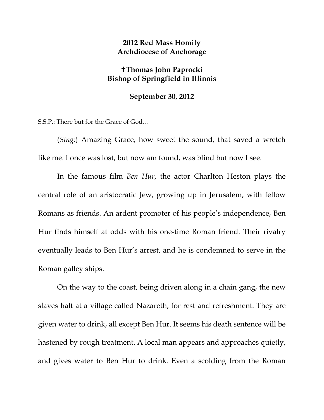## **2012 Red Mass Homily Archdiocese of Anchorage**

## **Thomas John Paprocki Bishop of Springfield in Illinois**

## **September 30, 2012**

S.S.P.: There but for the Grace of God…

(*Sing:*) Amazing Grace, how sweet the sound, that saved a wretch like me. I once was lost, but now am found, was blind but now I see.

In the famous film *Ben Hur*, the actor Charlton Heston plays the central role of an aristocratic Jew, growing up in Jerusalem, with fellow Romans as friends. An ardent promoter of his people's independence, Ben Hur finds himself at odds with his one-time Roman friend. Their rivalry eventually leads to Ben Hur's arrest, and he is condemned to serve in the Roman galley ships.

On the way to the coast, being driven along in a chain gang, the new slaves halt at a village called Nazareth, for rest and refreshment. They are given water to drink, all except Ben Hur. It seems his death sentence will be hastened by rough treatment. A local man appears and approaches quietly, and gives water to Ben Hur to drink. Even a scolding from the Roman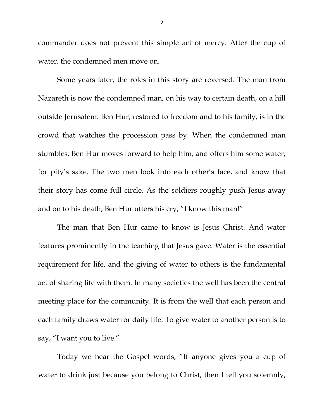commander does not prevent this simple act of mercy. After the cup of water, the condemned men move on.

Some years later, the roles in this story are reversed. The man from Nazareth is now the condemned man, on his way to certain death, on a hill outside Jerusalem. Ben Hur, restored to freedom and to his family, is in the crowd that watches the procession pass by. When the condemned man stumbles, Ben Hur moves forward to help him, and offers him some water, for pity's sake. The two men look into each other's face, and know that their story has come full circle. As the soldiers roughly push Jesus away and on to his death, Ben Hur utters his cry, "I know this man!"

The man that Ben Hur came to know is Jesus Christ. And water features prominently in the teaching that Jesus gave. Water is the essential requirement for life, and the giving of water to others is the fundamental act of sharing life with them. In many societies the well has been the central meeting place for the community. It is from the well that each person and each family draws water for daily life. To give water to another person is to say, "I want you to live."

Today we hear the Gospel words, "If anyone gives you a cup of water to drink just because you belong to Christ, then I tell you solemnly,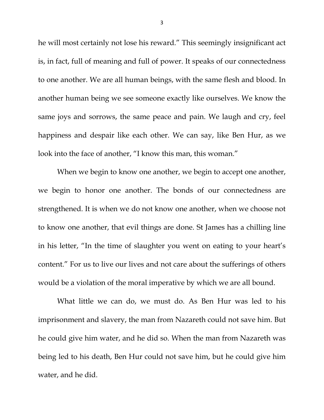he will most certainly not lose his reward." This seemingly insignificant act is, in fact, full of meaning and full of power. It speaks of our connectedness to one another. We are all human beings, with the same flesh and blood. In another human being we see someone exactly like ourselves. We know the same joys and sorrows, the same peace and pain. We laugh and cry, feel happiness and despair like each other. We can say, like Ben Hur, as we look into the face of another, "I know this man, this woman."

When we begin to know one another, we begin to accept one another, we begin to honor one another. The bonds of our connectedness are strengthened. It is when we do not know one another, when we choose not to know one another, that evil things are done. St James has a chilling line in his letter, "In the time of slaughter you went on eating to your heart's content." For us to live our lives and not care about the sufferings of others would be a violation of the moral imperative by which we are all bound.

What little we can do, we must do. As Ben Hur was led to his imprisonment and slavery, the man from Nazareth could not save him. But he could give him water, and he did so. When the man from Nazareth was being led to his death, Ben Hur could not save him, but he could give him water, and he did.

3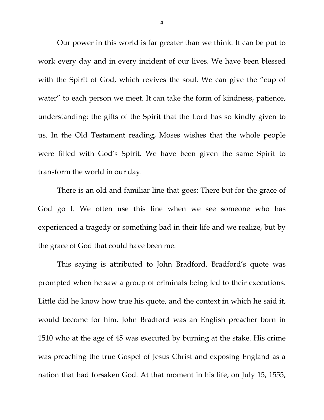Our power in this world is far greater than we think. It can be put to work every day and in every incident of our lives. We have been blessed with the Spirit of God, which revives the soul. We can give the "cup of water" to each person we meet. It can take the form of kindness, patience, understanding: the gifts of the Spirit that the Lord has so kindly given to us. In the Old Testament reading, Moses wishes that the whole people were filled with God's Spirit. We have been given the same Spirit to transform the world in our day.

There is an old and familiar line that goes: There but for the grace of God go I. We often use this line when we see someone who has experienced a tragedy or something bad in their life and we realize, but by the grace of God that could have been me.

This saying is attributed to John Bradford. Bradford's quote was prompted when he saw a group of criminals being led to their executions. Little did he know how true his quote, and the context in which he said it, would become for him. John Bradford was an English preacher born in 1510 who at the age of 45 was executed by burning at the stake. His crime was preaching the true Gospel of Jesus Christ and exposing England as a nation that had forsaken God. At that moment in his life, on July 15, 1555,